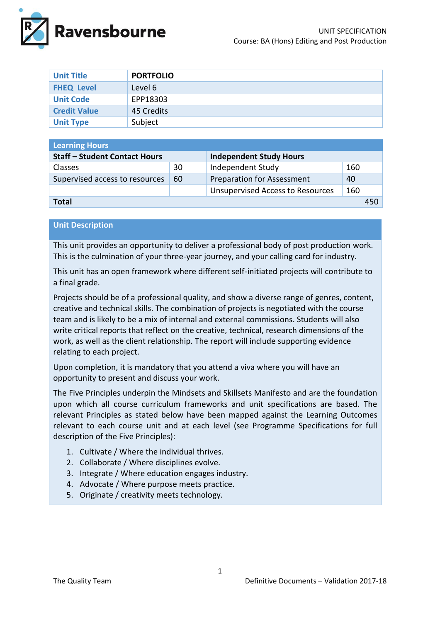

| <b>Unit Title</b>   | <b>PORTFOLIO</b> |
|---------------------|------------------|
| <b>FHEQ Level</b>   | Level 6          |
| <b>Unit Code</b>    | EPP18303         |
| <b>Credit Value</b> | 45 Credits       |
| <b>Unit Type</b>    | Subject          |

| <b>Learning Hours</b>                |    |                                         |     |  |
|--------------------------------------|----|-----------------------------------------|-----|--|
| <b>Staff - Student Contact Hours</b> |    | <b>Independent Study Hours</b>          |     |  |
| <b>Classes</b>                       | 30 | Independent Study                       | 160 |  |
| Supervised access to resources       | 60 | <b>Preparation for Assessment</b>       | 40  |  |
|                                      |    | <b>Unsupervised Access to Resources</b> | 160 |  |
| Total<br>450                         |    |                                         |     |  |

#### **Unit Description**

This unit provides an opportunity to deliver a professional body of post production work. This is the culmination of your three-year journey, and your calling card for industry.

This unit has an open framework where different self-initiated projects will contribute to a final grade.

Projects should be of a professional quality, and show a diverse range of genres, content, creative and technical skills. The combination of projects is negotiated with the course team and is likely to be a mix of internal and external commissions. Students will also write critical reports that reflect on the creative, technical, research dimensions of the work, as well as the client relationship. The report will include supporting evidence relating to each project.

Upon completion, it is mandatory that you attend a viva where you will have an opportunity to present and discuss your work.

The Five Principles underpin the Mindsets and Skillsets Manifesto and are the foundation upon which all course curriculum frameworks and unit specifications are based. The relevant Principles as stated below have been mapped against the Learning Outcomes relevant to each course unit and at each level (see Programme Specifications for full description of the Five Principles):

- 1. Cultivate / Where the individual thrives.
- 2. Collaborate / Where disciplines evolve.
- 3. Integrate / Where education engages industry.
- 4. Advocate / Where purpose meets practice.
- 5. Originate / creativity meets technology.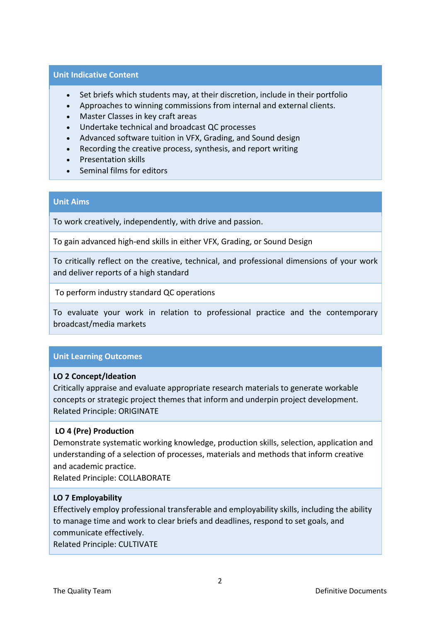#### **Unit Indicative Content**

- Set briefs which students may, at their discretion, include in their portfolio
- Approaches to winning commissions from internal and external clients.
- Master Classes in key craft areas
- Undertake technical and broadcast QC processes
- Advanced software tuition in VFX, Grading, and Sound design
- Recording the creative process, synthesis, and report writing
- Presentation skills
- Seminal films for editors

## **Unit Aims**

To work creatively, independently, with drive and passion.

To gain advanced high-end skills in either VFX, Grading, or Sound Design

To critically reflect on the creative, technical, and professional dimensions of your work and deliver reports of a high standard

To perform industry standard QC operations

To evaluate your work in relation to professional practice and the contemporary broadcast/media markets

# **Unit Learning Outcomes**

### **LO 2 Concept/Ideation**

Critically appraise and evaluate appropriate research materials to generate workable concepts or strategic project themes that inform and underpin project development. Related Principle: ORIGINATE

### **LO 4 (Pre) Production**

Demonstrate systematic working knowledge, production skills, selection, application and understanding of a selection of processes, materials and methods that inform creative and academic practice.

Related Principle: COLLABORATE

### **LO 7 Employability**

Effectively employ professional transferable and employability skills, including the ability to manage time and work to clear briefs and deadlines, respond to set goals, and communicate effectively.

Related Principle: CULTIVATE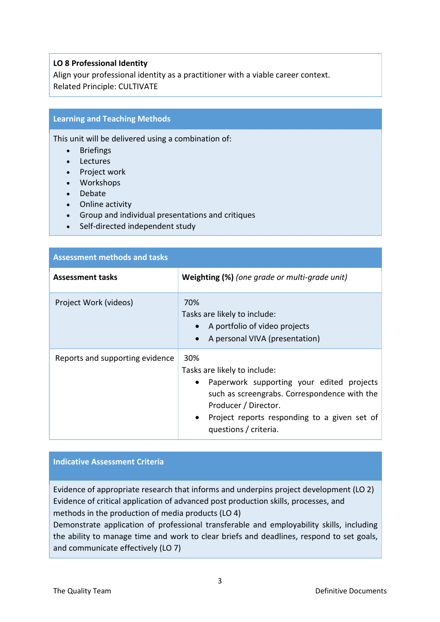### **LO 8 Professional Identity**

Align your professional identity as a practitioner with a viable career context. Related Principle: CULTIVATE

## **Learning and Teaching Methods**

This unit will be delivered using a combination of:

- Briefings
- Lectures
- Project work
- Workshops
- Debate
- Online activity
- Group and individual presentations and critiques
- Self-directed independent study

| <b>Assessment methods and tasks</b> |                                                                                                                                                                                                                                   |  |  |
|-------------------------------------|-----------------------------------------------------------------------------------------------------------------------------------------------------------------------------------------------------------------------------------|--|--|
| <b>Assessment tasks</b>             | Weighting (%) (one grade or multi-grade unit)                                                                                                                                                                                     |  |  |
| Project Work (videos)               | 70%<br>Tasks are likely to include:<br>A portfolio of video projects<br>A personal VIVA (presentation)                                                                                                                            |  |  |
| Reports and supporting evidence     | 30%<br>Tasks are likely to include:<br>Paperwork supporting your edited projects<br>such as screengrabs. Correspondence with the<br>Producer / Director.<br>Project reports responding to a given set of<br>questions / criteria. |  |  |

### **Indicative Assessment Criteria**

Evidence of appropriate research that informs and underpins project development (LO 2) Evidence of critical application of advanced post production skills, processes, and methods in the production of media products (LO 4)

Demonstrate application of professional transferable and employability skills, including the ability to manage time and work to clear briefs and deadlines, respond to set goals, and communicate effectively (LO 7)